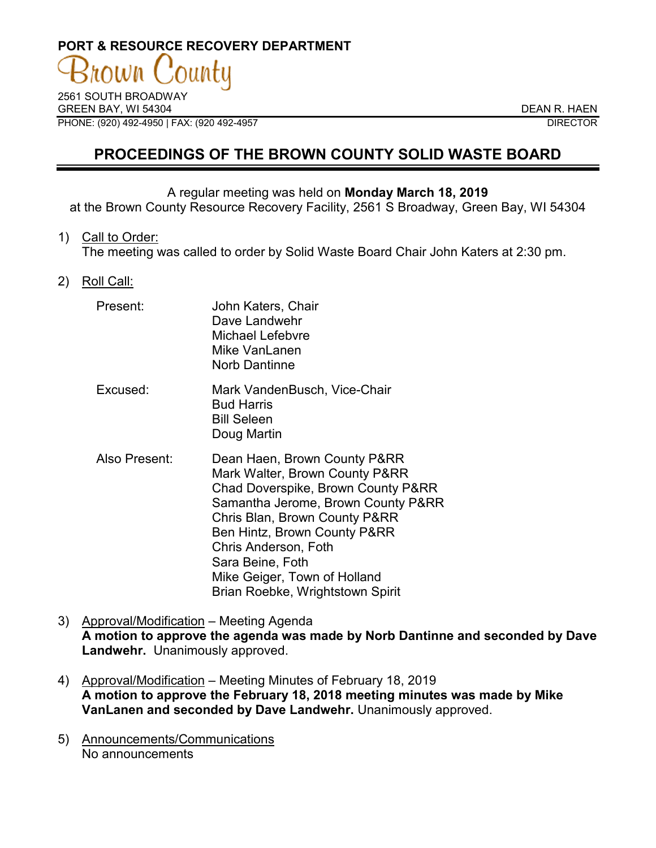# **PORT & RESOURCE RECOVERY DEPARTMENT**  $OWM$

2561 SOUTH BROADWAY GREEN BAY, WI 54304 DEAN R. HAEN PHONE: (920) 492-4950 | FAX: (920 492-4957 DIRECTOR

# **PROCEEDINGS OF THE BROWN COUNTY SOLID WASTE BOARD**

#### A regular meeting was held on **Monday March 18, 2019**

at the Brown County Resource Recovery Facility, 2561 S Broadway, Green Bay, WI 54304

1) Call to Order:

The meeting was called to order by Solid Waste Board Chair John Katers at 2:30 pm.

2) Roll Call:

| Present:      | John Katers, Chair<br>Dave Landwehr<br>Michael Lefebvre<br>Mike VanLanen<br><b>Norb Dantinne</b>                                                                                                                                                                                                                            |
|---------------|-----------------------------------------------------------------------------------------------------------------------------------------------------------------------------------------------------------------------------------------------------------------------------------------------------------------------------|
| Excused:      | Mark VandenBusch, Vice-Chair<br><b>Bud Harris</b><br><b>Bill Seleen</b><br>Doug Martin                                                                                                                                                                                                                                      |
| Also Present: | Dean Haen, Brown County P&RR<br>Mark Walter, Brown County P&RR<br>Chad Doverspike, Brown County P&RR<br>Samantha Jerome, Brown County P&RR<br>Chris Blan, Brown County P&RR<br>Ben Hintz, Brown County P&RR<br>Chris Anderson, Foth<br>Sara Beine, Foth<br>Mike Geiger, Town of Holland<br>Brian Roebke, Wrightstown Spirit |

- 3) Approval/Modification Meeting Agenda **A motion to approve the agenda was made by Norb Dantinne and seconded by Dave Landwehr.** Unanimously approved.
- 4) Approval/Modification Meeting Minutes of February 18, 2019 **A motion to approve the February 18, 2018 meeting minutes was made by Mike VanLanen and seconded by Dave Landwehr.** Unanimously approved.
- 5) Announcements/Communications No announcements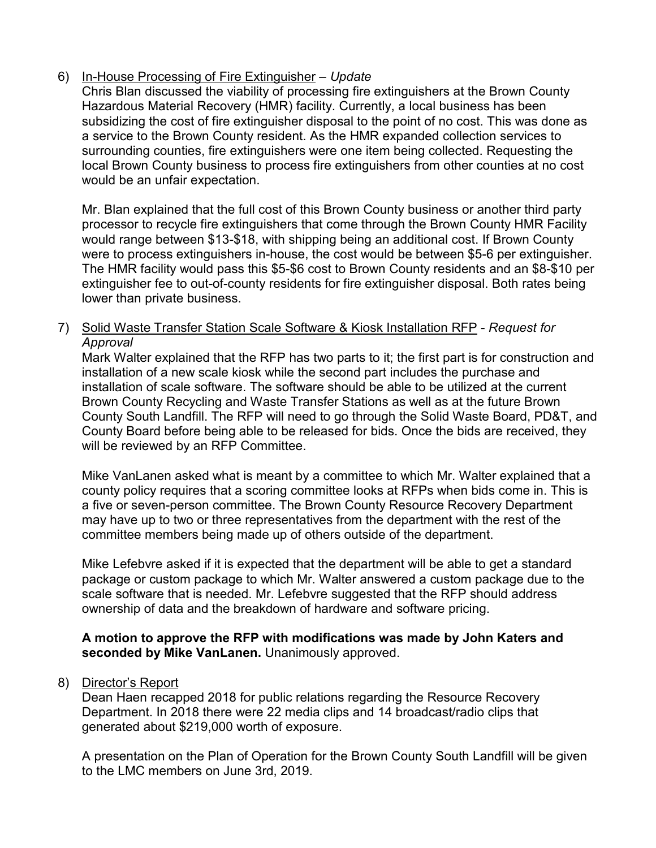# 6) In-House Processing of Fire Extinguisher – *Update*

Chris Blan discussed the viability of processing fire extinguishers at the Brown County Hazardous Material Recovery (HMR) facility. Currently, a local business has been subsidizing the cost of fire extinguisher disposal to the point of no cost. This was done as a service to the Brown County resident. As the HMR expanded collection services to surrounding counties, fire extinguishers were one item being collected. Requesting the local Brown County business to process fire extinguishers from other counties at no cost would be an unfair expectation.

Mr. Blan explained that the full cost of this Brown County business or another third party processor to recycle fire extinguishers that come through the Brown County HMR Facility would range between \$13-\$18, with shipping being an additional cost. If Brown County were to process extinguishers in-house, the cost would be between \$5-6 per extinguisher. The HMR facility would pass this \$5-\$6 cost to Brown County residents and an \$8-\$10 per extinguisher fee to out-of-county residents for fire extinguisher disposal. Both rates being lower than private business.

### 7) Solid Waste Transfer Station Scale Software & Kiosk Installation RFP - *Request for Approval*

Mark Walter explained that the RFP has two parts to it; the first part is for construction and installation of a new scale kiosk while the second part includes the purchase and installation of scale software. The software should be able to be utilized at the current Brown County Recycling and Waste Transfer Stations as well as at the future Brown County South Landfill. The RFP will need to go through the Solid Waste Board, PD&T, and County Board before being able to be released for bids. Once the bids are received, they will be reviewed by an RFP Committee.

Mike VanLanen asked what is meant by a committee to which Mr. Walter explained that a county policy requires that a scoring committee looks at RFPs when bids come in. This is a five or seven-person committee. The Brown County Resource Recovery Department may have up to two or three representatives from the department with the rest of the committee members being made up of others outside of the department.

Mike Lefebvre asked if it is expected that the department will be able to get a standard package or custom package to which Mr. Walter answered a custom package due to the scale software that is needed. Mr. Lefebvre suggested that the RFP should address ownership of data and the breakdown of hardware and software pricing.

#### **A motion to approve the RFP with modifications was made by John Katers and seconded by Mike VanLanen.** Unanimously approved.

8) Director's Report

Dean Haen recapped 2018 for public relations regarding the Resource Recovery Department. In 2018 there were 22 media clips and 14 broadcast/radio clips that generated about \$219,000 worth of exposure.

A presentation on the Plan of Operation for the Brown County South Landfill will be given to the LMC members on June 3rd, 2019.